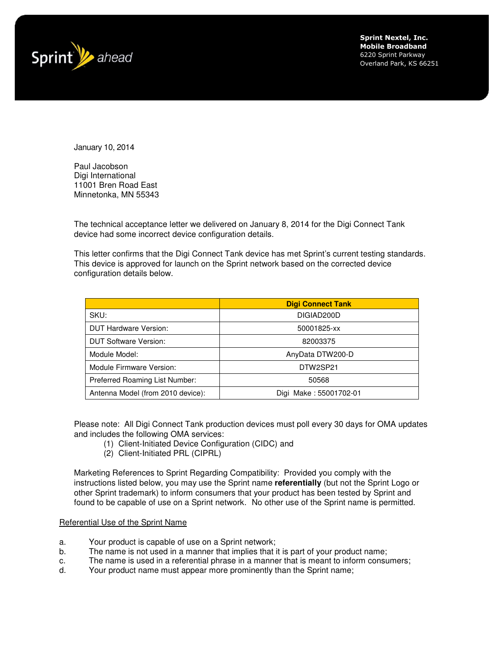

Sprint Nextel, Inc. Mobile Broadband 6220 Sprint Parkway Overland Park, KS 66251

January 10, 2014

Paul Jacobson Digi International 11001 Bren Road East Minnetonka, MN 55343

The technical acceptance letter we delivered on January 8, 2014 for the Digi Connect Tank device had some incorrect device configuration details.

This letter confirms that the Digi Connect Tank device has met Sprint's current testing standards. This device is approved for launch on the Sprint network based on the corrected device configuration details below.

|                                   | <b>Digi Connect Tank</b> |
|-----------------------------------|--------------------------|
| SKU:                              | DIGIAD200D               |
| <b>DUT Hardware Version:</b>      | 50001825-xx              |
| <b>DUT Software Version:</b>      | 82003375                 |
| Module Model:                     | AnyData DTW200-D         |
| Module Firmware Version:          | DTW2SP21                 |
| Preferred Roaming List Number:    | 50568                    |
| Antenna Model (from 2010 device): | Digi Make: 55001702-01   |

Please note: All Digi Connect Tank production devices must poll every 30 days for OMA updates and includes the following OMA services:

- (1) Client-Initiated Device Configuration (CIDC) and
- (2) Client-Initiated PRL (CIPRL)

Marketing References to Sprint Regarding Compatibility: Provided you comply with the instructions listed below, you may use the Sprint name **referentially** (but not the Sprint Logo or other Sprint trademark) to inform consumers that your product has been tested by Sprint and found to be capable of use on a Sprint network. No other use of the Sprint name is permitted.

## Referential Use of the Sprint Name

- a. Your product is capable of use on a Sprint network;
- b. The name is not used in a manner that implies that it is part of your product name;
- c. The name is used in a referential phrase in a manner that is meant to inform consumers;
- d. Your product name must appear more prominently than the Sprint name;